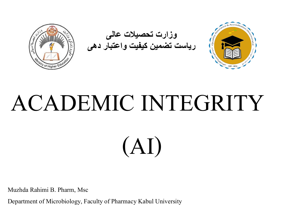

## ACADEMIC INTEGRITY

(AI)

Muzhda Rahimi B. Pharm, Msc

Department of Microbiology, Faculty of Pharmacy Kabul University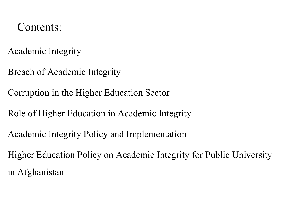#### Contents:

Academic Integrity

Breach of Academic Integrity

Corruption in the Higher Education Sector

Role of Higher Education in Academic Integrity

Academic Integrity Policy and Implementation

Higher Education Policy on Academic Integrity for Public University in Afghanistan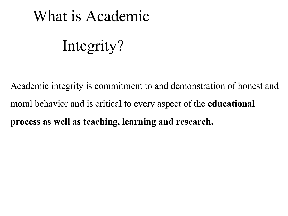#### What is Academic

#### Integrity?

Academic integrity is commitment to and demonstration of honest and moral behavior and is critical to every aspect of the **educational process as well as teaching, learning and research.**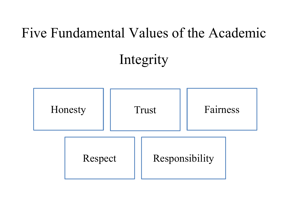#### Five Fundamental Values of the Academic

#### Integrity

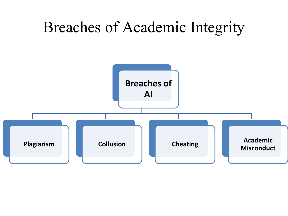#### Breaches of Academic Integrity

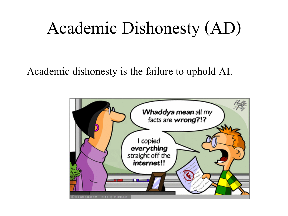### Academic Dishonesty (AD)

Academic dishonesty is the failure to uphold AI.

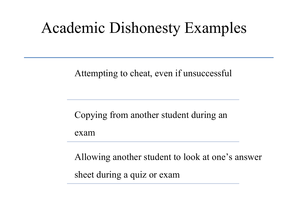#### Academic Dishonesty Examples

Attempting to cheat, even if unsuccessful

Copying from another student during an

exam

Allowing another student to look at one's answer sheet during a quiz or exam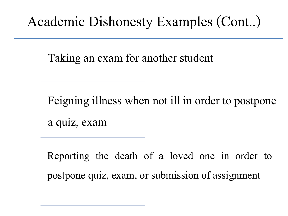#### Academic Dishonesty Examples (Cont..)

Taking an exam for another student

Feigning illness when not ill in order to postpone a quiz, exam

Reporting the death of a loved one in order to postpone quiz, exam, or submission of assignment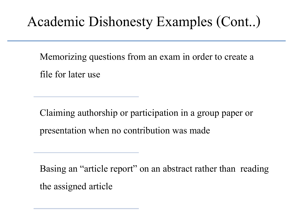#### Academic Dishonesty Examples (Cont..)

Memorizing questions from an exam in order to create a file for later use

Claiming authorship or participation in a group paper or presentation when no contribution was made

Basing an "article report" on an abstract rather than reading the assigned article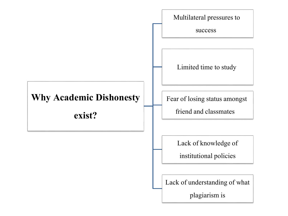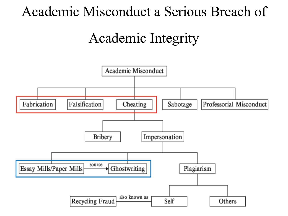#### Academic Misconduct a Serious Breach of

#### Academic Integrity

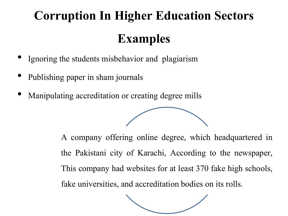#### **Corruption In Higher Education Sectors Examples**

- Ignoring the students misbehavior and plagiarism
- Publishing paper in sham journals
- Manipulating accreditation or creating degree mills

A company offering online degree, which headquartered in the Pakistani city of Karachi, According to the newspaper, This company had websites for at least 370 fake high schools, fake universities, and accreditation bodies on its rolls.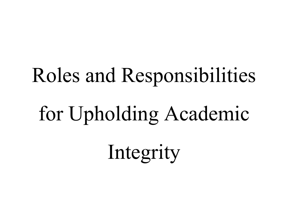# Roles and Responsibilities for Upholding Academic Integrity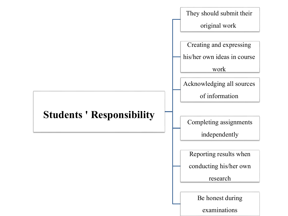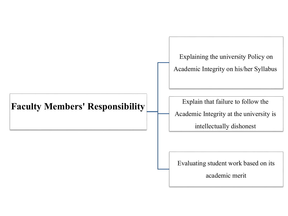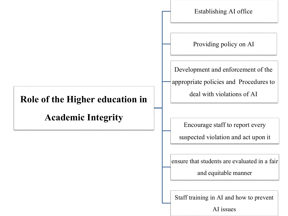

AI issues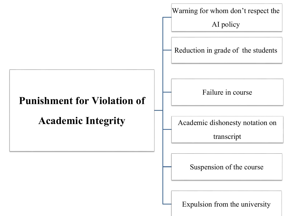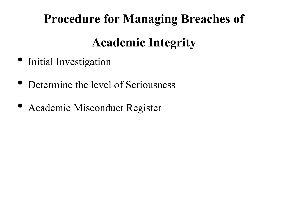### **Procedure for Managing Breaches of Academic Integrity**

- Initial Investigation
- Determine the level of Seriousness
- Academic Misconduct Register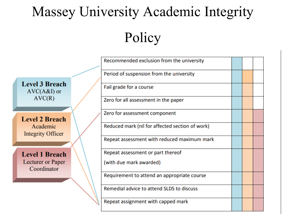## Massey University Academic Integrity

Policy

|                                        | Recommended exclusion from the university       |  |  |
|----------------------------------------|-------------------------------------------------|--|--|
|                                        | Period of suspension from the university        |  |  |
| <b>Level 3 Breach</b><br>$AVC(A&I)$ or | Fail grade for a course                         |  |  |
| AVC(R)                                 | Zero for all assessment in the paper            |  |  |
| <b>Level 2 Breach</b>                  | Zero for assessment component                   |  |  |
| Academic<br>Integrity Officer          | Reduced mark (nil for affected section of work) |  |  |
|                                        | Repeat assessment with reduced maximum mark     |  |  |
| <b>Level 1 Breach</b>                  | Repeat assessment or part thereof               |  |  |
| Lecturer or Paper<br>Coordinator       | (with due mark awarded)                         |  |  |
|                                        | Requirement to attend an appropriate course     |  |  |
|                                        | Remedial advice to attend SLDS to discuss       |  |  |
|                                        | Repeat assignment with capped mark              |  |  |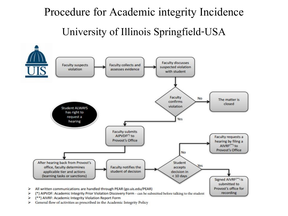#### Procedure for Academic integrity Incidence University of Illinois Springfield-USA



General flow of activities as prescribed in the Academic Integrity Policy ⋗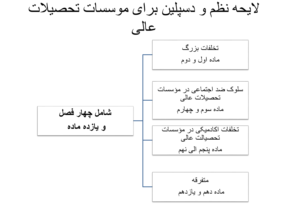الیحه نظم و دسپلین برای موسسات تحصیالت عالی **شامل چهار فصل و یازده ماده**  تخلفات بزرگ ماده اول و دوم سلوک ضد اجتماعی در مؤسسات تحصیالت عالی ماده سوم و چهارم تخلفات اکادمیکی در مؤسسات تحصیالت عالی ماده پنجم الی نهم متفرقه ماده دهم و یازدهم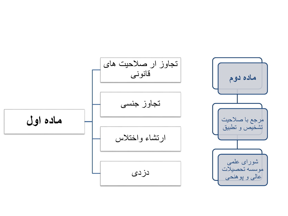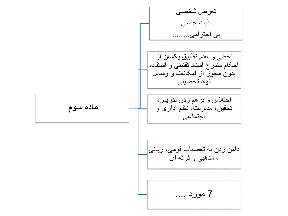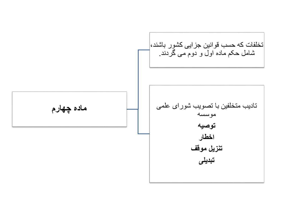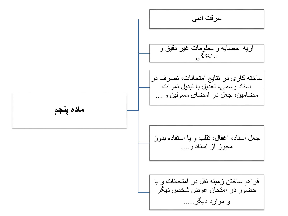**ماده پنجم** سرقت ادبی اریه احصایه و معلومات غیر دقیق و ساختگی ساخته کاری در نتایج امتحانات، تصرف در اسناد رسمی، تعدیل یا تبدیل نمرات مضامین، جعل در امضای مسولین و ... جعل اسناد، اغفال، تقلب و یا استفاده بدون مجوز از اسناد و.... فراهم ساختن زمینه نقل در امتحانات و یا حضور در امتحان عوض شخص دیگر و موارد دیگر.....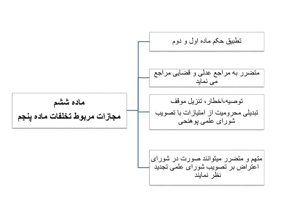**ماده ششم مجازات مربوط تخلفات ماده پنجم** تطبیق حکم ماده اول و دوم متضرر به مراجع عدلی و قضایی مراجع می نماید توصیه،اخطار، تنزیل موقف تبدیلی محرومیت از امتیازات با تصویب شورای علمی پوهنحی متهم و متضرر میتوانند صورت در شورای اعتراض بر تصویب شورای علمی تجدید نظر نمایند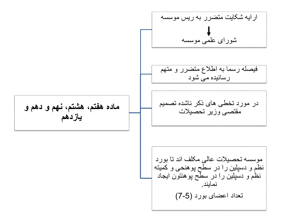**ماده هفتم، هشتم، نهم و دهم و یازدهم** ارایه شکایت متضرر به ریس موسسه شورای علمی موسسه فیصله رسما به اطالع متضرر و متهم رسانیده می شود در مورد تخطی های ذکر ناشده تصمیم مقتصی وزیر تحصیالت موسسه تحصیالت عالی مکلف اند تا بورد نظم و دسپلین را در سطح پوهنحی و کمیته نظم و دسپلین را در سطح پوهنتون ایجاد نمایند. تعداد اعضای بورد )7-5(